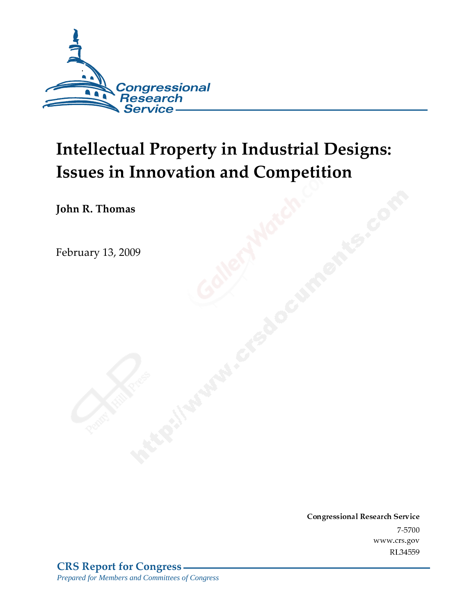

# Intellectual Property in Industrial Designs: **Issues in Innovation and Competition**

John R. Thomas

February 13*,* 2009

Conglessional Research Service  $7 - 2700$ www.crs.gov RL34559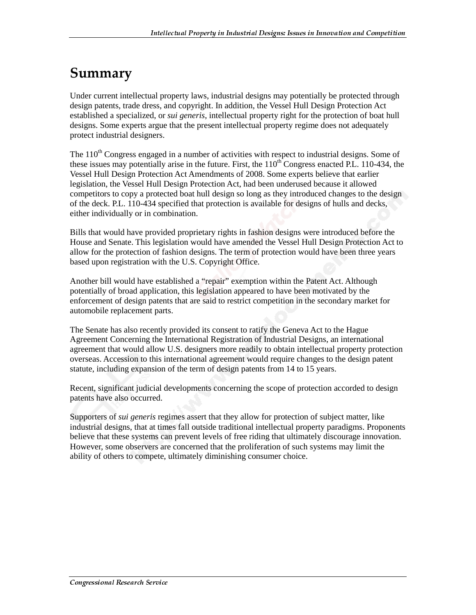### Summary

Under current intellectual property laws, industrial designs may potentially be protected through design patents, trade dress, and copyright. In addition, the Vessel Hull Design Protection Act established a specialized, or *sui generis*, intellectual property right for the protection of boat hull designs. Some experts argue that the present intellectual property regime does not adequately protect industrial designers.

The  $110<sup>th</sup>$  Congress engaged in a number of activities with respect to industrial designs. Some of these issues may potentially arise in the future. First, the  $110<sup>th</sup>$  Congress enacted P.L. 110-434, the Vessel Hull Design Protection Act Amendments of 2008. Some experts believe that earlier legislation, the Vessel Hull Design Protection Act, had been underused because it allowed competitors to copy a protected boat hull design so long as they introduced changes to the design of the deck. P.L. 110-434 specified that protection is available for designs of hulls and decks, either individually or in combination.

Bills that would have provided proprietary rights in fashion designs were introduced before the House and Senate. This legislation would have amended the Vessel Hull Design Protection Act to allow for the protection of fashion designs. The term of protection would have been three years based upon registration with the U.S. Copyright Office.

Another bill would have established a "repair" exemption within the Patent Act. Although potentially of broad application, this legislation appeared to have been motivated by the enforcement of design patents that are said to restrict competition in the secondary market for automobile replacement parts.

The Senate has also recently provided its consent to ratify the Geneva Act to the Hague Agreement Concerning the International Registration of Industrial Designs, an international agreement that would allow U.S. designers more readily to obtain intellectual property protection overseas. Accession to this international agreement would require changes to the design patent statute, including expansion of the term of design patents from 14 to 15 years.

Recent, significant judicial developments concerning the scope of protection accorded to design patents have also occurred.

Supporters of *sui generis* regimes assert that they allow for protection of subject matter, like industrial designs, that at times fall outside traditional intellectual property paradigms. Proponents believe that these systems can prevent levels of free riding that ultimately discourage innovation. However, some observers are concerned that the proliferation of such systems may limit the ability of others to compete, ultimately diminishing consumer choice.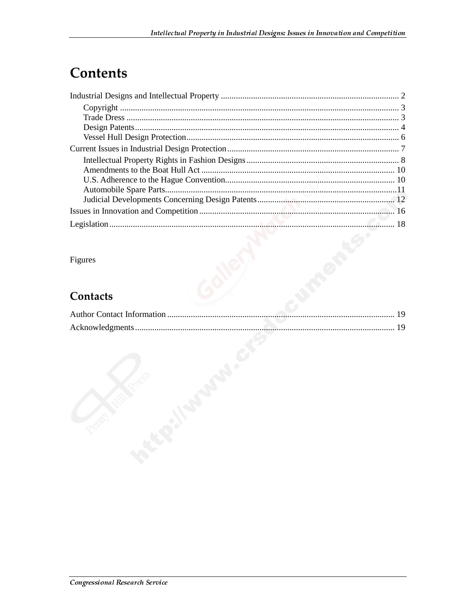### **Contents**

#### Figures

#### **Contacts**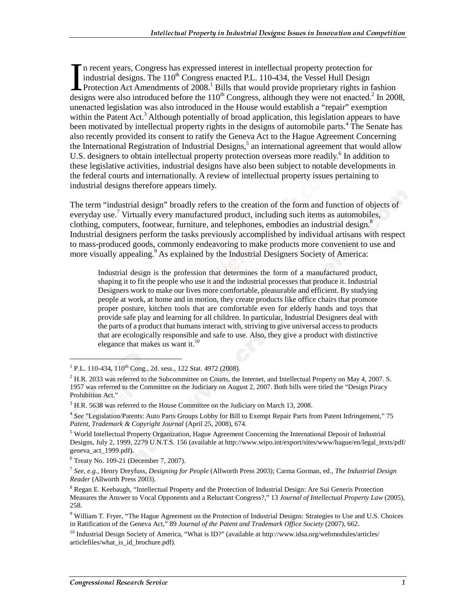n recent years, Congress has expressed interest in intellectual property protection for industrial designs. The  $110^{th}$  Congress enacted P.L. 110-434, the Vessel Hull Design Protection Act Amendments of 2008.<sup>1</sup> Bills that would provide proprietary rights in fashion In recent years, Congress has expressed interest in intellectual property protection for industrial designs. The  $110^{th}$  Congress enacted P.L. 110-434, the Vessel Hull Design Protection Act Amendments of 2008.<sup>1</sup> Bills t unenacted legislation was also introduced in the House would establish a "repair" exemption within the Patent Act.<sup>3</sup> Although potentially of broad application, this legislation appears to have been motivated by intellectual property rights in the designs of automobile parts.<sup>4</sup> The Senate has also recently provided its consent to ratify the Geneva Act to the Hague Agreement Concerning the International Registration of Industrial Designs,<sup>5</sup> an international agreement that would allow U.S. designers to obtain intellectual property protection overseas more readily.<sup>6</sup> In addition to these legislative activities, industrial designs have also been subject to notable developments in the federal courts and internationally. A review of intellectual property issues pertaining to industrial designs therefore appears timely.

The term "industrial design" broadly refers to the creation of the form and function of objects of everyday use.<sup>7</sup> Virtually every manufactured product, including such items as automobiles, clothing, computers, footwear, furniture, and telephones, embodies an industrial design.<sup>8</sup> Industrial designers perform the tasks previously accomplished by individual artisans with respect to mass-produced goods, commonly endeavoring to make products more convenient to use and more visually appealing.<sup>9</sup> As explained by the Industrial Designers Society of America:

Industrial design is the profession that determines the form of a manufactured product, shaping it to fit the people who use it and the industrial processes that produce it. Industrial Designers work to make our lives more comfortable, pleasurable and efficient. By studying people at work, at home and in motion, they create products like office chairs that promote proper posture, kitchen tools that are comfortable even for elderly hands and toys that provide safe play and learning for all children. In particular, Industrial Designers deal with the parts of a product that humans interact with, striving to give universal access to products that are ecologically responsible and safe to use. Also, they give a product with distinctive elegance that makes us want it.<sup>10</sup>

<sup>&</sup>lt;sup>1</sup> P.L. 110-434, 110<sup>th</sup> Cong., 2d. sess., 122 Stat. 4972 (2008).

 $^{2}$  H.R. 2033 was referred to the Subcommittee on Courts, the Internet, and Intellectual Property on May 4, 2007. S. 1957 was referred to the Committee on the Judiciary on August 2, 2007. Both bills were titled the "Design Piracy Prohibition Act."

 $3$  H.R. 5638 was referred to the House Committee on the Judiciary on March 13, 2008.

<sup>4</sup> *See* "Legislation/Patents: Auto Parts Groups Lobby for Bill to Exempt Repair Parts from Patent Infringement," 75 *Patent, Trademark & Copyright Journal* (April 25, 2008), 674.

<sup>&</sup>lt;sup>5</sup> World Intellectual Property Organization, Hague Agreement Concerning the International Deposit of Industrial Designs, July 2, 1999, 2279 U.N.T.S. 156 (available at http://www.wipo.int/export/sites/www/hague/en/legal\_texts/pdf/ geneva\_act\_1999.pdf).

<sup>6</sup> Treaty No. 109-21 (December 7, 2007).

<sup>7</sup> *See, e.g.,* Henry Dreyfuss, *Designing for People* (Allworth Press 2003); Carma Gorman, ed., *The Industrial Design Reader* (Allworth Press 2003).

<sup>&</sup>lt;sup>8</sup> Regan E. Keebaugh, "Intellectual Property and the Protection of Industrial Design: Are Sui Generis Protection Measures the Answer to Vocal Opponents and a Reluctant Congress?," 13 *Journal of Intellectual Property Law* (2005), 258.

<sup>&</sup>lt;sup>9</sup> William T. Fryer, "The Hague Agreement on the Protection of Industrial Designs: Strategies to Use and U.S. Choices in Ratification of the Geneva Act," 89 *Journal of the Patent and Trademark Office Society* (2007), 662.

<sup>&</sup>lt;sup>10</sup> Industrial Design Society of America, "What is ID?" (available at http://www.idsa.org/webmodules/articles/ articlefiles/what\_is\_id\_brochure.pdf).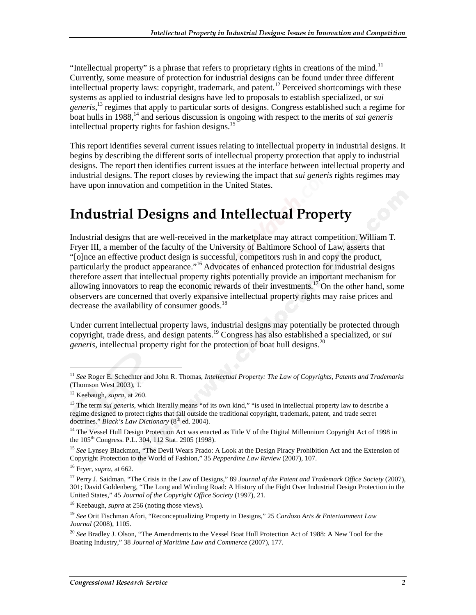"Intellectual property" is a phrase that refers to proprietary rights in creations of the mind.<sup>11</sup> Currently, some measure of protection for industrial designs can be found under three different intellectual property laws: copyright, trademark, and patent.<sup>12</sup> Perceived shortcomings with these systems as applied to industrial designs have led to proposals to establish specialized, or *sui generis*, 13 regimes that apply to particular sorts of designs. Congress established such a regime for boat hulls in 1988,<sup>14</sup> and serious discussion is ongoing with respect to the merits of *sui generis* intellectual property rights for fashion designs.<sup>15</sup>

This report identifies several current issues relating to intellectual property in industrial designs. It begins by describing the different sorts of intellectual property protection that apply to industrial designs. The report then identifies current issues at the interface between intellectual property and industrial designs. The report closes by reviewing the impact that *sui generis* rights regimes may have upon innovation and competition in the United States.

### **Industrial Designs and Intellectual Property**

Industrial designs that are well-received in the marketplace may attract competition. William T. Fryer III, a member of the faculty of the University of Baltimore School of Law, asserts that "[o]nce an effective product design is successful, competitors rush in and copy the product, particularly the product appearance."16 Advocates of enhanced protection for industrial designs therefore assert that intellectual property rights potentially provide an important mechanism for allowing innovators to reap the economic rewards of their investments.<sup>17</sup> On the other hand, some observers are concerned that overly expansive intellectual property rights may raise prices and decrease the availability of consumer goods. $^{18}$ 

Under current intellectual property laws, industrial designs may potentially be protected through copyright, trade dress, and design patents.19 Congress has also established a specialized, or *sui generis*, intellectual property right for the protection of boat hull designs.<sup>20</sup>

<sup>11</sup> *See* Roger E. Schechter and John R. Thomas, *Intellectual Property: The Law of Copyrights, Patents and Trademarks* (Thomson West 2003), 1.

<sup>12</sup> Keebaugh, *supra*, at 260.

<sup>&</sup>lt;sup>13</sup> The term *sui generis*, which literally means "of its own kind," "is used in intellectual property law to describe a regime designed to protect rights that fall outside the traditional copyright, trademark, patent, and trade secret doctrines." *Black's Law Dictionary* (8<sup>th</sup> ed. 2004).

<sup>&</sup>lt;sup>14</sup> The Vessel Hull Design Protection Act was enacted as Title V of the Digital Millennium Copyright Act of 1998 in the 105<sup>th</sup> Congress. P.L. 304, 112 Stat. 2905 (1998).

<sup>15</sup> *See* Lynsey Blackmon, "The Devil Wears Prado: A Look at the Design Piracy Prohibition Act and the Extension of Copyright Protection to the World of Fashion," 35 *Pepperdine Law Review* (2007), 107.

<sup>16</sup> Fryer, *supra*, at 662.

<sup>17</sup> Perry J. Saidman, "The Crisis in the Law of Designs," 89 *Journal of the Patent and Trademark Office Society* (2007), 301; David Goldenberg, "The Long and Winding Road: A History of the Fight Over Industrial Design Protection in the United States," 45 *Journal of the Copyright Office Society* (1997), 21.

<sup>18</sup> Keebaugh, *supra* at 256 (noting those views).

<sup>19</sup> *See* Orit Fischman Afori, "Reconceptualizing Property in Designs," 25 *Cardozo Arts & Entertainment Law Journal* (2008), 1105.

<sup>20</sup> *See* Bradley J. Olson, "The Amendments to the Vessel Boat Hull Protection Act of 1988: A New Tool for the Boating Industry," 38 *Journal of Maritime Law and Commerce* (2007), 177.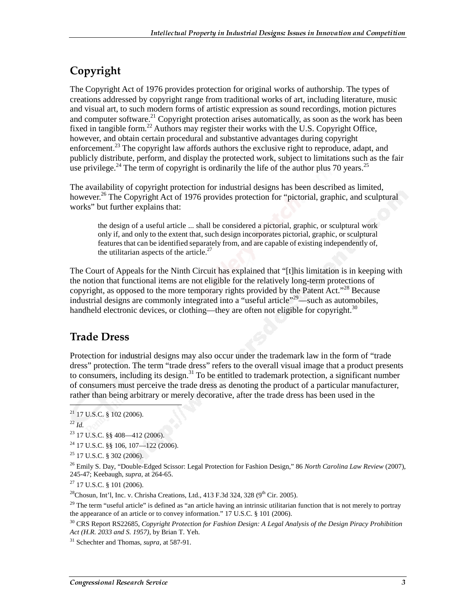### Copyright

The Copyright Act of 1976 provides protection for original works of authorship. The types of creations addressed by copyright range from traditional works of art, including literature, music and visual art, to such modern forms of artistic expression as sound recordings, motion pictures and computer software.<sup>21</sup> Copyright protection arises automatically, as soon as the work has been fixed in tangible form.<sup>22</sup> Authors may register their works with the U.S. Copyright Office, however, and obtain certain procedural and substantive advantages during copyright enforcement.<sup>23</sup> The copyright law affords authors the exclusive right to reproduce, adapt, and publicly distribute, perform, and display the protected work, subject to limitations such as the fair use privilege.<sup>24</sup> The term of copyright is ordinarily the life of the author plus 70 years.<sup>25</sup>

The availability of copyright protection for industrial designs has been described as limited, however.<sup>26</sup> The Copyright Act of 1976 provides protection for "pictorial, graphic, and sculptural works" but further explains that:

the design of a useful article ... shall be considered a pictorial, graphic, or sculptural work only if, and only to the extent that, such design incorporates pictorial, graphic, or sculptural features that can be identified separately from, and are capable of existing independently of, the utilitarian aspects of the article. $27$ 

The Court of Appeals for the Ninth Circuit has explained that "[t]his limitation is in keeping with the notion that functional items are not eligible for the relatively long-term protections of copyright, as opposed to the more temporary rights provided by the Patent Act."<sup>28</sup> Because industrial designs are commonly integrated into a "useful article"29—such as automobiles, handheld electronic devices, or clothing—they are often not eligible for copyright. $30$ 

#### **Trade Dress**

Protection for industrial designs may also occur under the trademark law in the form of "trade dress" protection. The term "trade dress" refers to the overall visual image that a product presents to consumers, including its design.<sup>31</sup> To be entitled to trademark protection, a significant number of consumers must perceive the trade dress as denoting the product of a particular manufacturer, rather than being arbitrary or merely decorative, after the trade dress has been used in the

<sup>22</sup> *Id.*

 $\overline{a}$ 

 $^{27}$  17 U.S.C. § 101 (2006).

<sup>28</sup>Chosun, Int'l, Inc. v. Chrisha Creations, Ltd., 413 F.3d 324, 328 (9<sup>th</sup> Cir. 2005).

 $21$  17 U.S.C. § 102 (2006).

<sup>23 17</sup> U.S.C. §§ 408—412 (2006).

 $^{24}$  17 U.S.C. §§ 106, 107—122 (2006).

 $25$  17 U.S.C. § 302 (2006).

<sup>26</sup> Emily S. Day, "Double-Edged Scissor: Legal Protection for Fashion Design," 86 *North Carolina Law Review* (2007), 245-47; Keebaugh, *supra*, at 264-65.

<sup>&</sup>lt;sup>29</sup> The term "useful article" is defined as "an article having an intrinsic utilitarian function that is not merely to portray the appearance of an article or to convey information." 17 U.S.C. § 101 (2006).

<sup>30</sup> CRS Report RS22685, *Copyright Protection for Fashion Design: A Legal Analysis of the Design Piracy Prohibition Act (H.R. 2033 and S. 1957)*, by Brian T. Yeh.

<sup>31</sup> Schechter and Thomas, *supra*, at 587-91.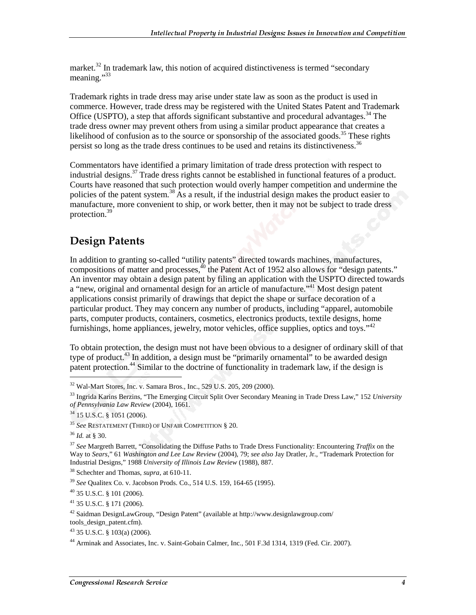market.<sup>32</sup> In trademark law, this notion of acquired distinctiveness is termed "secondary" meaning."<sup>33</sup>

Trademark rights in trade dress may arise under state law as soon as the product is used in commerce. However, trade dress may be registered with the United States Patent and Trademark Office (USPTO), a step that affords significant substantive and procedural advantages.<sup>34</sup> The trade dress owner may prevent others from using a similar product appearance that creates a likelihood of confusion as to the source or sponsorship of the associated goods.<sup>35</sup> These rights persist so long as the trade dress continues to be used and retains its distinctiveness.<sup>36</sup>

Commentators have identified a primary limitation of trade dress protection with respect to industrial designs.37 Trade dress rights cannot be established in functional features of a product. Courts have reasoned that such protection would overly hamper competition and undermine the policies of the patent system.<sup>38</sup> As a result, if the industrial design makes the product easier to manufacture, more convenient to ship, or work better, then it may not be subject to trade dress protection.39

#### **Design Patents**

In addition to granting so-called "utility patents" directed towards machines, manufactures, compositions of matter and processes,<sup>40</sup> the Patent Act of 1952 also allows for "design patents." An inventor may obtain a design patent by filing an application with the USPTO directed towards a "new, original and ornamental design for an article of manufacture."<sup>41</sup> Most design patent applications consist primarily of drawings that depict the shape or surface decoration of a particular product. They may concern any number of products, including "apparel, automobile parts, computer products, containers, cosmetics, electronics products, textile designs, home furnishings, home appliances, jewelry, motor vehicles, office supplies, optics and toys." $42$ 

To obtain protection, the design must not have been obvious to a designer of ordinary skill of that type of product.<sup>43</sup> In addition, a design must be "primarily ornamental" to be awarded design patent protection.<sup>44</sup> Similar to the doctrine of functionality in trademark law, if the design is

<sup>32</sup> Wal-Mart Stores, Inc. v. Samara Bros., Inc., 529 U.S. 205, 209 (2000).

<sup>33</sup> Ingrida Karins Berzins, "The Emerging Circuit Split Over Secondary Meaning in Trade Dress Law," 152 *University of Pennsylvania Law Review* (2004), 1661.

<sup>34 15</sup> U.S.C. § 1051 (2006).

<sup>35</sup> *See* RESTATEMENT (THIRD) OF UNFAIR COMPETITION § 20.

<sup>36</sup> *Id.* at § 30.

<sup>37</sup> *See* Margreth Barrett, "Consolidating the Diffuse Paths to Trade Dress Functionality: Encountering *Traffix* on the Way to *Sears*," 61 *Washington and Lee Law Review* (2004), 79; *see also* Jay Dratler, Jr., "Trademark Protection for Industrial Designs," 1988 *University of Illinois Law Review* (1988), 887.

<sup>38</sup> Schechter and Thomas, *supra*, at 610-11.

<sup>39</sup> *See* Qualitex Co. v. Jacobson Prods. Co., 514 U.S. 159, 164-65 (1995).

<sup>40 35</sup> U.S.C. § 101 (2006).

<sup>41 35</sup> U.S.C. § 171 (2006).

 $42$  Saidman DesignLawGroup, "Design Patent" (available at http://www.designlawgroup.com/

tools\_design\_patent.cfm).

 $43$  35 U.S.C. § 103(a) (2006).

<sup>&</sup>lt;sup>44</sup> Arminak and Associates, Inc. v. Saint-Gobain Calmer, Inc., 501 F.3d 1314, 1319 (Fed. Cir. 2007).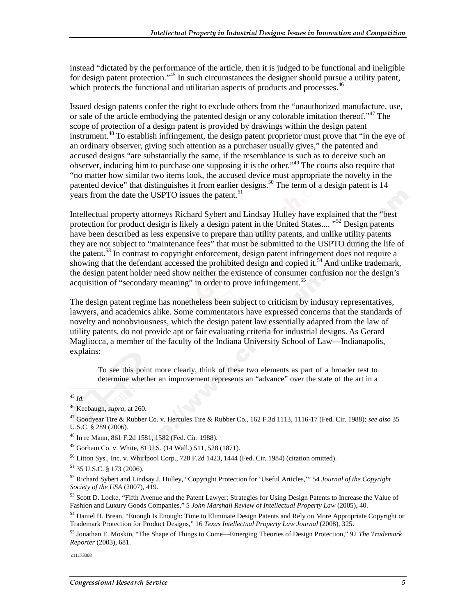instead "dictated by the performance of the article, then it is judged to be functional and ineligible for design patent protection."<sup>45</sup> In such circumstances the designer should pursue a utility patent, which protects the functional and utilitarian aspects of products and processes.<sup>46</sup>

Issued design patents confer the right to exclude others from the "unauthorized manufacture, use, or sale of the article embodying the patented design or any colorable imitation thereof."<sup>47</sup> The scope of protection of a design patent is provided by drawings within the design patent instrument.<sup>48</sup> To establish infringement, the design patent proprietor must prove that "in the eye of an ordinary observer, giving such attention as a purchaser usually gives," the patented and accused designs "are substantially the same, if the resemblance is such as to deceive such an observer, inducing him to purchase one supposing it is the other.<sup>49</sup> The courts also require that "no matter how similar two items look, the accused device must appropriate the novelty in the patented device" that distinguishes it from earlier designs.<sup>50</sup> The term of a design patent is 14 years from the date the USPTO issues the patent.<sup>51</sup>

Intellectual property attorneys Richard Sybert and Lindsay Hulley have explained that the "best protection for product design is likely a design patent in the United States....<sup>"52</sup> Design patents have been described as less expensive to prepare than utility patents, and unlike utility patents they are not subject to "maintenance fees" that must be submitted to the USPTO during the life of the patent.<sup>53</sup> In contrast to copyright enforcement, design patent infringement does not require a showing that the defendant accessed the prohibited design and copied it.<sup>54</sup> And unlike trademark, the design patent holder need show neither the existence of consumer confusion nor the design's acquisition of "secondary meaning" in order to prove infringement.<sup>55</sup>

The design patent regime has nonetheless been subject to criticism by industry representatives, lawyers, and academics alike. Some commentators have expressed concerns that the standards of novelty and nonobviousness, which the design patent law essentially adapted from the law of utility patents, do not provide apt or fair evaluating criteria for industrial designs. As Gerard Magliocca, a member of the faculty of the Indiana University School of Law—Indianapolis, explains:

To see this point more clearly, think of these two elements as part of a broader test to determine whether an improvement represents an "advance" over the state of the art in a

<sup>45</sup> *Id.*

<sup>46</sup> Keebaugh, *supra,* at 260.

<sup>47</sup> Goodyear Tire & Rubber Co. v. Hercules Tire & Rubber Co., 162 F.3d 1113, 1116-17 (Fed. Cir. 1988); *see also* 35 U.S.C. § 289 (2006).

<sup>48</sup> In re Mann, 861 F.2d 1581, 1582 (Fed. Cir. 1988).

<sup>49</sup> Gorham Co. v. White, 81 U.S. (14 Wall.) 511, 528 (1871).

<sup>50</sup> Litton Sys., Inc. v. Whirlpool Corp., 728 F.2d 1423, 1444 (Fed. Cir. 1984) (citation omitted).

<sup>51 35</sup> U.S.C. § 173 (2006).

<sup>52</sup> Richard Sybert and Lindsay J. Hulley, "Copyright Protection for 'Useful Articles,'" 54 *Journal of the Copyright Society of the USA* (2007), 419.

<sup>&</sup>lt;sup>53</sup> Scott D. Locke, "Fifth Avenue and the Patent Lawyer: Strategies for Using Design Patents to Increase the Value of Fashion and Luxury Goods Companies," 5 *John Marshall Review of Intellectual Property Law* (2005), 40.

<sup>&</sup>lt;sup>54</sup> Daniel H. Brean, "Enough Is Enough: Time to Eliminate Design Patents and Rely on More Appropriate Copyright or Trademark Protection for Product Designs," 16 *Texas Intellectual Property Law Journal* (2008), 325.

<sup>55</sup> Jonathan E. Moskin, "The Shape of Things to Come—Emerging Theories of Design Protection," 92 *The Trademark Reporter* (2003), 681.

c11173008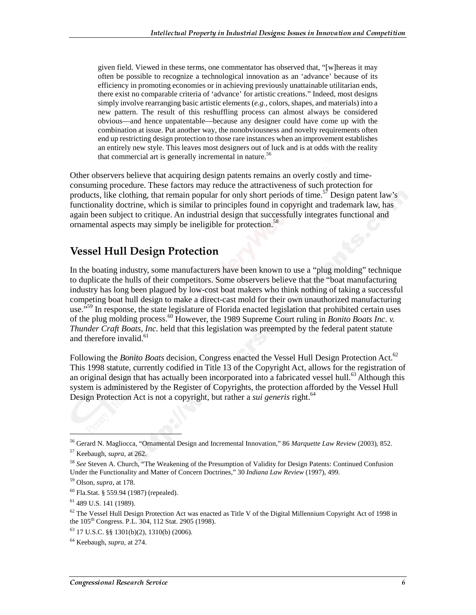given field. Viewed in these terms, one commentator has observed that, "[w]hereas it may often be possible to recognize a technological innovation as an 'advance' because of its efficiency in promoting economies or in achieving previously unattainable utilitarian ends, there exist no comparable criteria of 'advance' for artistic creations." Indeed, most designs simply involve rearranging basic artistic elements (*e.g.,* colors, shapes, and materials) into a new pattern. The result of this reshuffling process can almost always be considered obvious—and hence unpatentable—because any designer could have come up with the combination at issue. Put another way, the nonobviousness and novelty requirements often end up restricting design protection to those rare instances when an improvement establishes an entirely new style. This leaves most designers out of luck and is at odds with the reality that commercial art is generally incremental in nature.<sup>56</sup>

Other observers believe that acquiring design patents remains an overly costly and timeconsuming procedure. These factors may reduce the attractiveness of such protection for products, like clothing, that remain popular for only short periods of time.<sup>57</sup> Design patent law's functionality doctrine, which is similar to principles found in copyright and trademark law, has again been subject to critique. An industrial design that successfully integrates functional and ornamental aspects may simply be ineligible for protection.<sup>58</sup>

#### **Vessel Hull Design Protection**

In the boating industry, some manufacturers have been known to use a "plug molding" technique to duplicate the hulls of their competitors. Some observers believe that the "boat manufacturing industry has long been plagued by low-cost boat makers who think nothing of taking a successful competing boat hull design to make a direct-cast mold for their own unauthorized manufacturing use.<sup> $559$ </sup> In response, the state legislature of Florida enacted legislation that prohibited certain uses of the plug molding process.60 However, the 1989 Supreme Court ruling in *Bonito Boats Inc. v. Thunder Craft Boats, Inc.* held that this legislation was preempted by the federal patent statute and therefore invalid. $61$ 

Following the *Bonito Boats* decision, Congress enacted the Vessel Hull Design Protection Act.<sup>62</sup> This 1998 statute, currently codified in Title 13 of the Copyright Act, allows for the registration of an original design that has actually been incorporated into a fabricated vessel hull.<sup>63</sup> Although this system is administered by the Register of Copyrights, the protection afforded by the Vessel Hull Design Protection Act is not a copyright, but rather a *sui generis* right.<sup>64</sup>

<sup>56</sup> Gerard N. Magliocca, "Ornamental Design and Incremental Innovation," 86 *Marquette Law Review* (2003), 852.

<sup>57</sup> Keebaugh, *supra*, at 262.

<sup>58</sup> *See* Steven A. Church, "The Weakening of the Presumption of Validity for Design Patents: Continued Confusion Under the Functionality and Matter of Concern Doctrines," 30 *Indiana Law Review* (1997), 499.

<sup>59</sup> Olson, *supra*, at 178.

<sup>60</sup> Fla.Stat. § 559.94 (1987) (repealed).

<sup>61 489</sup> U.S. 141 (1989).

 $62$  The Vessel Hull Design Protection Act was enacted as Title V of the Digital Millennium Copyright Act of 1998 in the 105<sup>th</sup> Congress. P.L. 304, 112 Stat. 2905 (1998).

 $63$  17 U.S.C. §§ 1301(b)(2), 1310(b) (2006).

<sup>64</sup> Keebaugh, *supra*, at 274.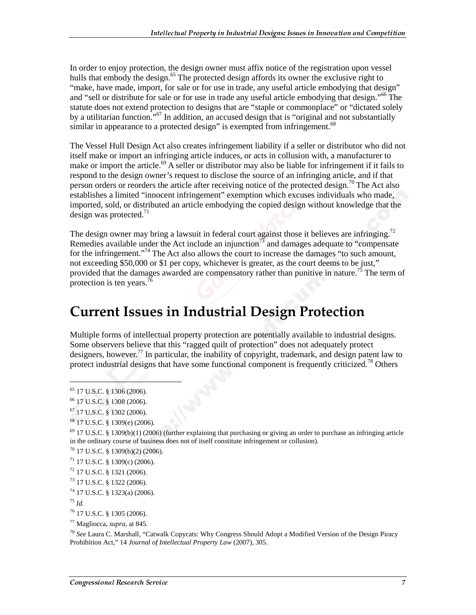In order to enjoy protection, the design owner must affix notice of the registration upon vessel hulls that embody the design.<sup>65</sup> The protected design affords its owner the exclusive right to "make, have made, import, for sale or for use in trade, any useful article embodying that design" and "sell or distribute for sale or for use in trade any useful article embodying that design."<sup>66</sup> The statute does not extend protection to designs that are "staple or commonplace" or "dictated solely by a utilitarian function."<sup>67</sup> In addition, an accused design that is "original and not substantially similar in appearance to a protected design" is exempted from infringement.<sup>68</sup>

The Vessel Hull Design Act also creates infringement liability if a seller or distributor who did not itself make or import an infringing article induces, or acts in collusion with, a manufacturer to make or import the article.<sup>69</sup> A seller or distributor may also be liable for infringement if it fails to respond to the design owner's request to disclose the source of an infringing article, and if that person orders or reorders the article after receiving notice of the protected design.<sup>70</sup> The Act also establishes a limited "innocent infringement" exemption which excuses individuals who made, imported, sold, or distributed an article embodying the copied design without knowledge that the design was protected. $^{71}$ 

The design owner may bring a lawsuit in federal court against those it believes are infringing.<sup>72</sup> Remedies available under the Act include an injunction<sup>73</sup> and damages adequate to "compensate" for the infringement."<sup>74</sup> The Act also allows the court to increase the damages "to such amount, not exceeding \$50,000 or \$1 per copy, whichever is greater, as the court deems to be just," provided that the damages awarded are compensatory rather than punitive in nature.<sup>75</sup> The term of protection is ten years.<sup>76</sup>

### **Current Issues in Industrial Design Protection**

Multiple forms of intellectual property protection are potentially available to industrial designs. Some observers believe that this "ragged quilt of protection" does not adequately protect designers, however.<sup>77</sup> In particular, the inability of copyright, trademark, and design patent law to protect industrial designs that have some functional component is frequently criticized.<sup>78</sup> Others

<sup>65 17</sup> U.S.C. § 1306 (2006).

<sup>66 17</sup> U.S.C. § 1308 (2006).

<sup>67 17</sup> U.S.C. § 1302 (2006).

<sup>68 17</sup> U.S.C. § 1309(e) (2006).

 $69$  17 U.S.C. § 1309(b)(1) (2006) (further explaining that purchasing or giving an order to purchase an infringing article in the ordinary course of business does not of itself constitute infringement or collusion).

<sup>70 17</sup> U.S.C. § 1309(b)(2) (2006).

 $71$  17 U.S.C. § 1309(c) (2006).

<sup>72 17</sup> U.S.C. § 1321 (2006).

<sup>73 17</sup> U.S.C. § 1322 (2006).

<sup>74 17</sup> U.S.C. § 1323(a) (2006).

<sup>75</sup> *Id.*

<sup>76 17</sup> U.S.C. § 1305 (2006).

<sup>77</sup> Magliocca, *supra*, at 845.

<sup>78</sup> *See* Laura C. Marshall, "Catwalk Copycats: Why Congress Should Adopt a Modified Version of the Design Piracy Prohibition Act," 14 *Journal of Intellectual Property Law* (2007), 305.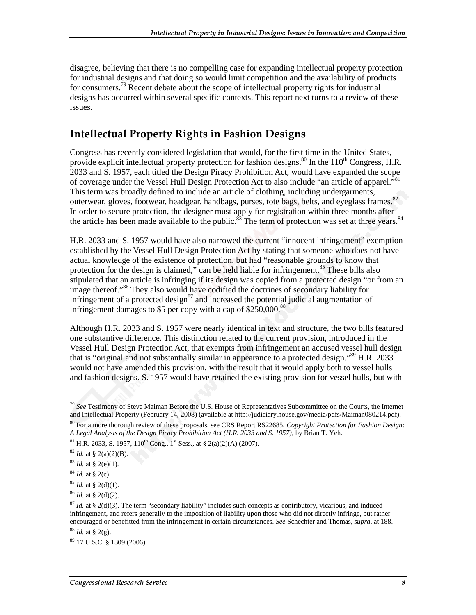disagree, believing that there is no compelling case for expanding intellectual property protection for industrial designs and that doing so would limit competition and the availability of products for consumers.<sup>79</sup> Recent debate about the scope of intellectual property rights for industrial designs has occurred within several specific contexts. This report next turns to a review of these issues.

#### **Intellectual Property Rights in Fashion Designs**

Congress has recently considered legislation that would, for the first time in the United States, provide explicit intellectual property protection for fashion designs.<sup>80</sup> In the 110<sup>th</sup> Congress, H.R. 2033 and S. 1957, each titled the Design Piracy Prohibition Act, would have expanded the scope of coverage under the Vessel Hull Design Protection Act to also include "an article of apparel."<sup>81</sup> This term was broadly defined to include an article of clothing, including undergarments, outerwear, gloves, footwear, headgear, handbags, purses, tote bags, belts, and eyeglass frames.<sup>82</sup> In order to secure protection, the designer must apply for registration within three months after the article has been made available to the public.<sup>83</sup> The term of protection was set at three years.<sup>84</sup>

H.R. 2033 and S. 1957 would have also narrowed the current "innocent infringement" exemption established by the Vessel Hull Design Protection Act by stating that someone who does not have actual knowledge of the existence of protection, but had "reasonable grounds to know that protection for the design is claimed," can be held liable for infringement.<sup>85</sup> These bills also stipulated that an article is infringing if its design was copied from a protected design "or from an image thereof."86 They also would have codified the doctrines of secondary liability for infringement of a protected design $n^8$  and increased the potential judicial augmentation of infringement damages to \$5 per copy with a cap of  $$250,000$ .<sup>88</sup>

Although H.R. 2033 and S. 1957 were nearly identical in text and structure, the two bills featured one substantive difference. This distinction related to the current provision, introduced in the Vessel Hull Design Protection Act, that exempts from infringement an accused vessel hull design that is "original and not substantially similar in appearance to a protected design."<sup>89</sup> H.R. 2033 would not have amended this provision, with the result that it would apply both to vessel hulls and fashion designs. S. 1957 would have retained the existing provision for vessel hulls, but with

<sup>79</sup> *See* Testimony of Steve Maiman Before the U.S. House of Representatives Subcommittee on the Courts, the Internet and Intellectual Property (February 14, 2008) (available at http://judiciary.house.gov/media/pdfs/Maiman080214.pdf).

<sup>80</sup> For a more thorough review of these proposals, see CRS Report RS22685, *Copyright Protection for Fashion Design: A Legal Analysis of the Design Piracy Prohibition Act (H.R. 2033 and S. 1957)*, by Brian T. Yeh.

<sup>&</sup>lt;sup>81</sup> H.R. 2033, S. 1957, 110<sup>th</sup> Cong., 1<sup>st</sup> Sess., at § 2(a)(2)(A) (2007).

 $82$  *Id.* at § 2(a)(2)(B).

 $83$  *Id.* at § 2(e)(1).

<sup>84</sup> *Id.* at § 2(c).

 $85$  *Id.* at § 2(d)(1).

<sup>86</sup> *Id.* at § 2(d)(2).

 $87$  *Id.* at § 2(d)(3). The term "secondary liability" includes such concepts as contributory, vicarious, and induced infringement, and refers generally to the imposition of liability upon those who did not directly infringe, but rather encouraged or benefitted from the infringement in certain circumstances. *See* Schechter and Thomas, *supra*, at 188.

 $88$  *Id.* at § 2(g).

<sup>89 17</sup> U.S.C. § 1309 (2006).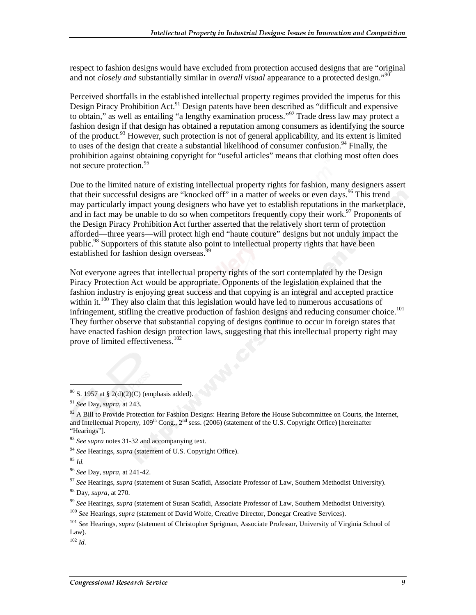respect to fashion designs would have excluded from protection accused designs that are "original and not *closely and* substantially similar in *overall visual* appearance to a protected design."<sup>90</sup>

Perceived shortfalls in the established intellectual property regimes provided the impetus for this Design Piracy Prohibition Act.<sup>91</sup> Design patents have been described as "difficult and expensive to obtain," as well as entailing "a lengthy examination process."92 Trade dress law may protect a fashion design if that design has obtained a reputation among consumers as identifying the source of the product.<sup>93</sup> However, such protection is not of general applicability, and its extent is limited to uses of the design that create a substantial likelihood of consumer confusion.<sup>94</sup> Finally, the prohibition against obtaining copyright for "useful articles" means that clothing most often does not secure protection.<sup>95</sup>

Due to the limited nature of existing intellectual property rights for fashion, many designers assert that their successful designs are "knocked off" in a matter of weeks or even days.<sup>96</sup> This trend may particularly impact young designers who have yet to establish reputations in the marketplace, and in fact may be unable to do so when competitors frequently copy their work.<sup>97</sup> Proponents of the Design Piracy Prohibition Act further asserted that the relatively short term of protection afforded—three years—will protect high end "haute couture" designs but not unduly impact the public.<sup>98</sup> Supporters of this statute also point to intellectual property rights that have been established for fashion design overseas.

Not everyone agrees that intellectual property rights of the sort contemplated by the Design Piracy Protection Act would be appropriate. Opponents of the legislation explained that the fashion industry is enjoying great success and that copying is an integral and accepted practice within it.<sup>100</sup> They also claim that this legislation would have led to numerous accusations of infringement, stifling the creative production of fashion designs and reducing consumer choice.<sup>101</sup> They further observe that substantial copying of designs continue to occur in foreign states that have enacted fashion design protection laws, suggesting that this intellectual property right may prove of limited effectiveness.<sup>102</sup>

 $90$  S. 1957 at § 2(d)(2)(C) (emphasis added).

 $\overline{a}$ 

<sup>97</sup> *See* Hearings, *supra* (statement of Susan Scafidi, Associate Professor of Law, Southern Methodist University).

98 Day, *supra*, at 270.

<sup>99</sup> *See* Hearings, *supra* (statement of Susan Scafidi, Associate Professor of Law, Southern Methodist University).

<sup>102</sup> *Id.*

<sup>91</sup> *See* Day, *supra*, at 243.

 $92$  A Bill to Provide Protection for Fashion Designs: Hearing Before the House Subcommittee on Courts, the Internet, and Intellectual Property, 109<sup>th</sup> Cong., 2<sup>nd</sup> sess. (2006) (statement of the U.S. Copyright Office) [hereinafter "Hearings"].

<sup>93</sup> *See supra* notes 31-32 and accompanying text.

<sup>94</sup> *See* Hearings, *supra* (statement of U.S. Copyright Office).

<sup>95</sup> *Id.*

<sup>96</sup> *See* Day, *supra*, at 241-42.

<sup>100</sup> *See* Hearings, *supra* (statement of David Wolfe, Creative Director, Donegar Creative Services).

<sup>101</sup> *See* Hearings, *supra* (statement of Christopher Sprigman, Associate Professor, University of Virginia School of Law).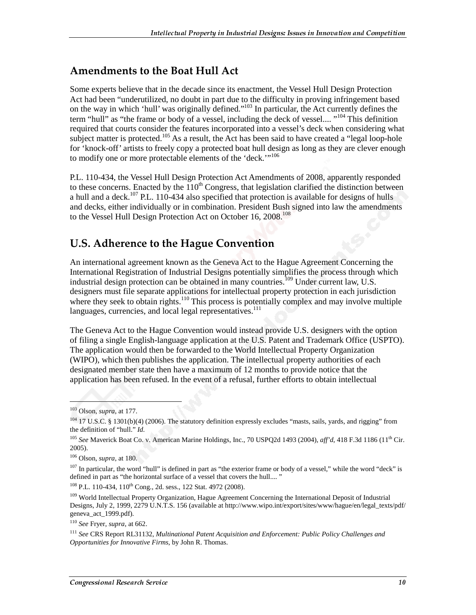#### **Amendments to the Boat Hull Act**

Some experts believe that in the decade since its enactment, the Vessel Hull Design Protection Act had been "underutilized, no doubt in part due to the difficulty in proving infringement based on the way in which 'hull' was originally defined."103 In particular, the Act currently defines the term "hull" as "the frame or body of a vessel, including the deck of vessel.... "<sup>104</sup> This definition required that courts consider the features incorporated into a vessel's deck when considering what subject matter is protected.<sup>105</sup> As a result, the Act has been said to have created a "legal loop-hole" for 'knock-off' artists to freely copy a protected boat hull design as long as they are clever enough to modify one or more protectable elements of the 'deck."<sup>106</sup>

P.L. 110-434, the Vessel Hull Design Protection Act Amendments of 2008, apparently responded to these concerns. Enacted by the  $110<sup>th</sup>$  Congress, that legislation clarified the distinction between a hull and a deck.<sup>107</sup> P.L. 110-434 also specified that protection is available for designs of hulls and decks, either individually or in combination. President Bush signed into law the amendments to the Vessel Hull Design Protection Act on October 16, 2008.<sup>108</sup>

#### U.S. Adherence to the Hague Convention

An international agreement known as the Geneva Act to the Hague Agreement Concerning the International Registration of Industrial Designs potentially simplifies the process through which industrial design protection can be obtained in many countries.<sup>109</sup> Under current law, U.S. designers must file separate applications for intellectual property protection in each jurisdiction where they seek to obtain rights.<sup>110</sup> This process is potentially complex and may involve multiple languages, currencies, and local legal representatives.<sup>111</sup>

The Geneva Act to the Hague Convention would instead provide U.S. designers with the option of filing a single English-language application at the U.S. Patent and Trademark Office (USPTO). The application would then be forwarded to the World Intellectual Property Organization (WIPO), which then publishes the application. The intellectual property authorities of each designated member state then have a maximum of 12 months to provide notice that the application has been refused. In the event of a refusal, further efforts to obtain intellectual

j

<sup>108</sup> P.L. 110-434, 110<sup>th</sup> Cong., 2d. sess., 122 Stat. 4972 (2008).

<sup>103</sup> Olson, *supra*, at 177.

<sup>&</sup>lt;sup>104</sup> 17 U.S.C. § 1301(b)(4) (2006). The statutory definition expressly excludes "masts, sails, yards, and rigging" from the definition of "hull." *Id.*

<sup>&</sup>lt;sup>105</sup> See Maverick Boat Co. v. American Marine Holdings, Inc., 70 USPQ2d 1493 (2004), *aff'd*, 418 F.3d 1186 (11<sup>th</sup> Cir. 2005).

<sup>106</sup> Olson, *supra*, at 180.

 $107$  In particular, the word "hull" is defined in part as "the exterior frame or body of a vessel," while the word "deck" is defined in part as "the horizontal surface of a vessel that covers the hull.... "

<sup>&</sup>lt;sup>109</sup> World Intellectual Property Organization, Hague Agreement Concerning the International Deposit of Industrial Designs, July 2, 1999, 2279 U.N.T.S. 156 (available at http://www.wipo.int/export/sites/www/hague/en/legal\_texts/pdf/ geneva\_act\_1999.pdf).

<sup>110</sup> *See* Fryer, *supra*, at 662.

<sup>111</sup> *See* CRS Report RL31132, *Multinational Patent Acquisition and Enforcement: Public Policy Challenges and Opportunities for Innovative Firms*, by John R. Thomas.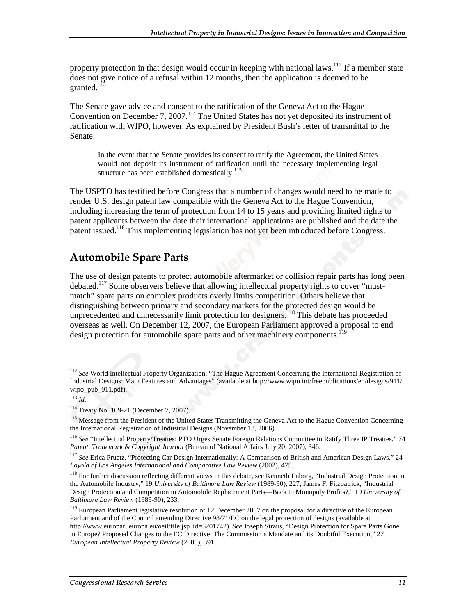property protection in that design would occur in keeping with national laws.<sup>112</sup> If a member state does not give notice of a refusal within 12 months, then the application is deemed to be granted.<sup>113</sup>

The Senate gave advice and consent to the ratification of the Geneva Act to the Hague Convention on December 7, 2007.<sup>114</sup> The United States has not yet deposited its instrument of ratification with WIPO, however. As explained by President Bush's letter of transmittal to the Senate:

In the event that the Senate provides its consent to ratify the Agreement, the United States would not deposit its instrument of ratification until the necessary implementing legal structure has been established domestically.<sup>115</sup>

The USPTO has testified before Congress that a number of changes would need to be made to render U.S. design patent law compatible with the Geneva Act to the Hague Convention, including increasing the term of protection from 14 to 15 years and providing limited rights to patent applicants between the date their international applications are published and the date the patent issued.116 This implementing legislation has not yet been introduced before Congress.

#### **Automobile Spare Parts**

The use of design patents to protect automobile aftermarket or collision repair parts has long been debated.<sup>117</sup> Some observers believe that allowing intellectual property rights to cover "mustmatch" spare parts on complex products overly limits competition. Others believe that distinguishing between primary and secondary markets for the protected design would be unprecedented and unnecessarily limit protection for designers.<sup>118</sup> This debate has proceeded overseas as well. On December 12, 2007, the European Parliament approved a proposal to end design protection for automobile spare parts and other machinery components.<sup>119</sup>

<sup>112</sup> *See* World Intellectual Property Organization, "The Hague Agreement Concerning the International Registration of Industrial Designs: Main Features and Advantages" (available at http://www.wipo.int/freepublications/en/designs/911/ wipo\_pub\_911.pdf).

<sup>113</sup> *Id.*

<sup>114</sup> Treaty No. 109-21 (December 7, 2007).

<sup>115</sup> Message from the President of the United States Transmitting the Geneva Act to the Hague Convention Concerning the International Registration of Industrial Designs (November 13, 2006).

<sup>116</sup> *See* "Intellectual Property/Treaties: PTO Urges Senate Foreign Relations Committee to Ratify Three IP Treaties," 74 *Patent, Trademark & Copyright Journal* (Bureau of National Affairs July 20, 2007), 346.

<sup>117</sup> *See* Erica Pruetz, "Protecting Car Design Internationally: A Comparison of British and American Design Laws," 24 *Loyola of Los Angeles International and Comparative Law Review* (2002), 475.

<sup>&</sup>lt;sup>118</sup> For further discussion reflecting different views in this debate, see Kenneth Enborg, "Industrial Design Protection in the Automobile Industry," 19 *University of Baltimore Law Review* (1989-90), 227; James F. Fitzpatrick, "Industrial Design Protection and Competition in Automobile Replacement Parts—Back to Monopoly Profits?," 19 *University of Baltimore Law Review* (1989-90), 233.

<sup>&</sup>lt;sup>119</sup> European Parliament legislative resolution of 12 December 2007 on the proposal for a directive of the European Parliament and of the Council amending Directive 98/71/EC on the legal protection of designs (available at http://www.europarl.europa.eu/oeil/file.jsp?id=5201742). *See* Joseph Straus, "Design Protection for Spare Parts Gone in Europe? Proposed Changes to the EC Directive: The Commission's Mandate and its Doubtful Execution," 27 *European Intellectual Property Review* (2005), 391.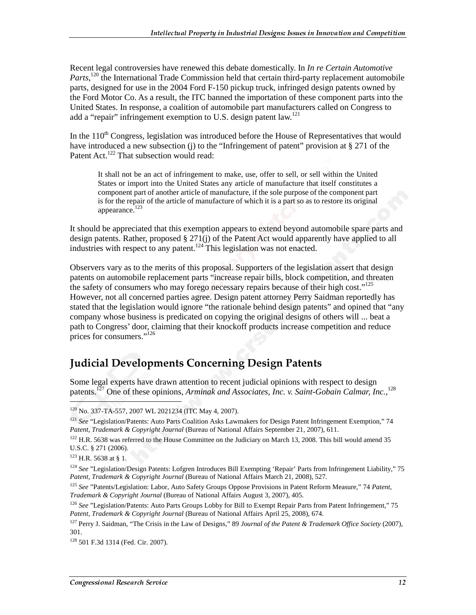Recent legal controversies have renewed this debate domestically. In *In re Certain Automotive*  Parts,<sup>120</sup> the International Trade Commission held that certain third-party replacement automobile parts, designed for use in the 2004 Ford F-150 pickup truck, infringed design patents owned by the Ford Motor Co. As a result, the ITC banned the importation of these component parts into the United States. In response, a coalition of automobile part manufacturers called on Congress to add a "repair" infringement exemption to U.S. design patent law.<sup>121</sup>

In the  $110<sup>th</sup>$  Congress, legislation was introduced before the House of Representatives that would have introduced a new subsection (j) to the "Infringement of patent" provision at  $\S 271$  of the Patent Act.<sup>122</sup> That subsection would read:

It shall not be an act of infringement to make, use, offer to sell, or sell within the United States or import into the United States any article of manufacture that itself constitutes a component part of another article of manufacture, if the sole purpose of the component part is for the repair of the article of manufacture of which it is a part so as to restore its original appearance.<sup>123</sup>

It should be appreciated that this exemption appears to extend beyond automobile spare parts and design patents. Rather, proposed § 271(j) of the Patent Act would apparently have applied to all industries with respect to any patent.<sup>124</sup> This legislation was not enacted.

Observers vary as to the merits of this proposal. Supporters of the legislation assert that design patents on automobile replacement parts "increase repair bills, block competition, and threaten the safety of consumers who may forego necessary repairs because of their high cost."<sup>125</sup> However, not all concerned parties agree. Design patent attorney Perry Saidman reportedly has stated that the legislation would ignore "the rationale behind design patents" and opined that "any company whose business is predicated on copying the original designs of others will ... beat a path to Congress' door, claiming that their knockoff products increase competition and reduce prices for consumers."<sup>126</sup>

#### Judicial Developments Concerning Design Patents

Some legal experts have drawn attention to recent judicial opinions with respect to design patents.<sup>127</sup> One of these opinions, Arminak and Associates, Inc. v. Saint-Gobain Calmar, Inc.,<sup>128</sup>

123 H.R. 5638 at § 1.

<sup>120</sup> No. 337-TA-557, 2007 WL 2021234 (ITC May 4, 2007).

<sup>&</sup>lt;sup>121</sup> See "Legislation/Patents: Auto Parts Coalition Asks Lawmakers for Design Patent Infringement Exemption," 74 *Patent, Trademark & Copyright Journal* (Bureau of National Affairs September 21, 2007), 611.

<sup>&</sup>lt;sup>122</sup> H.R. 5638 was referred to the House Committee on the Judiciary on March 13, 2008. This bill would amend 35 U.S.C. § 271 (2006).

<sup>124</sup> *See* "Legislation/Design Patents: Lofgren Introduces Bill Exempting 'Repair' Parts from Infringement Liability," 75 *Patent, Trademark & Copyright Journal* (Bureau of National Affairs March 21, 2008), 527*.*

<sup>125</sup> *See* "Patents/Legislation: Labor, Auto Safety Groups Oppose Provisions in Patent Reform Measure," 74 *Patent, Trademark & Copyright Journal* (Bureau of National Affairs August 3, 2007), 405*.*

<sup>126</sup> *See* "Legislation/Patents: Auto Parts Groups Lobby for Bill to Exempt Repair Parts from Patent Infringement," 75 *Patent, Trademark & Copyright Journal* (Bureau of National Affairs April 25, 2008), 674*.*

<sup>127</sup> Perry J. Saidman, "The Crisis in the Law of Designs," 89 *Journal of the Patent & Trademark Office Society* (2007), 301.

<sup>128 501</sup> F.3d 1314 (Fed. Cir. 2007).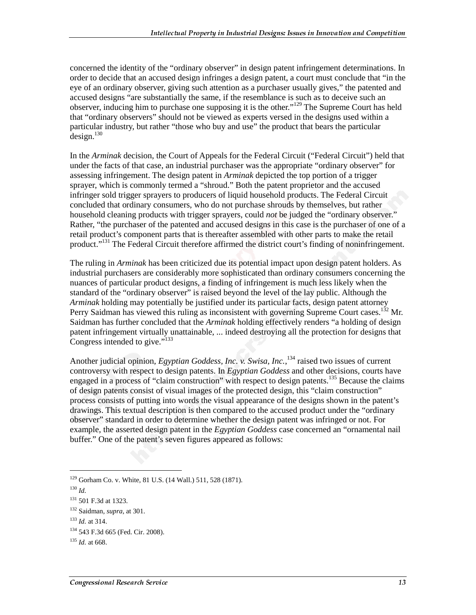concerned the identity of the "ordinary observer" in design patent infringement determinations. In order to decide that an accused design infringes a design patent, a court must conclude that "in the eye of an ordinary observer, giving such attention as a purchaser usually gives," the patented and accused designs "are substantially the same, if the resemblance is such as to deceive such an observer, inducing him to purchase one supposing it is the other."129 The Supreme Court has held that "ordinary observers" should not be viewed as experts versed in the designs used within a particular industry, but rather "those who buy and use" the product that bears the particular  $design.<sup>130</sup>$ 

In the *Arminak* decision, the Court of Appeals for the Federal Circuit ("Federal Circuit") held that under the facts of that case, an industrial purchaser was the appropriate "ordinary observer" for assessing infringement. The design patent in *Arminak* depicted the top portion of a trigger sprayer, which is commonly termed a "shroud." Both the patent proprietor and the accused infringer sold trigger sprayers to producers of liquid household products. The Federal Circuit concluded that ordinary consumers, who do not purchase shrouds by themselves, but rather household cleaning products with trigger sprayers, could *not* be judged the "ordinary observer." Rather, "the purchaser of the patented and accused designs in this case is the purchaser of one of a retail product's component parts that is thereafter assembled with other parts to make the retail product."<sup>131</sup> The Federal Circuit therefore affirmed the district court's finding of noninfringement.

The ruling in *Arminak* has been criticized due its potential impact upon design patent holders. As industrial purchasers are considerably more sophisticated than ordinary consumers concerning the nuances of particular product designs, a finding of infringement is much less likely when the standard of the "ordinary observer" is raised beyond the level of the lay public. Although the *Arminak* holding may potentially be justified under its particular facts, design patent attorney Perry Saidman has viewed this ruling as inconsistent with governing Supreme Court cases.<sup>132</sup> Mr. Saidman has further concluded that the *Arminak* holding effectively renders "a holding of design patent infringement virtually unattainable, ... indeed destroying all the protection for designs that Congress intended to give."<sup>133</sup>

Another judicial opinion, *Egyptian Goddess, Inc. v. Swisa, Inc.*, 134 raised two issues of current controversy with respect to design patents. In *Egyptian Goddess* and other decisions, courts have engaged in a process of "claim construction" with respect to design patents.<sup>135</sup> Because the claims of design patents consist of visual images of the protected design, this "claim construction" process consists of putting into words the visual appearance of the designs shown in the patent's drawings. This textual description is then compared to the accused product under the "ordinary observer" standard in order to determine whether the design patent was infringed or not. For example, the asserted design patent in the *Egyptian Goddess* case concerned an "ornamental nail buffer." One of the patent's seven figures appeared as follows:

<sup>129</sup> Gorham Co. v. White, 81 U.S. (14 Wall.) 511, 528 (1871).

<sup>130</sup> *Id.*

<sup>131 501</sup> F.3d at 1323.

<sup>132</sup> Saidman, *supra*, at 301.

<sup>133</sup> *Id.* at 314.

<sup>134 543</sup> F.3d 665 (Fed. Cir. 2008).

<sup>135</sup> *Id.* at 668.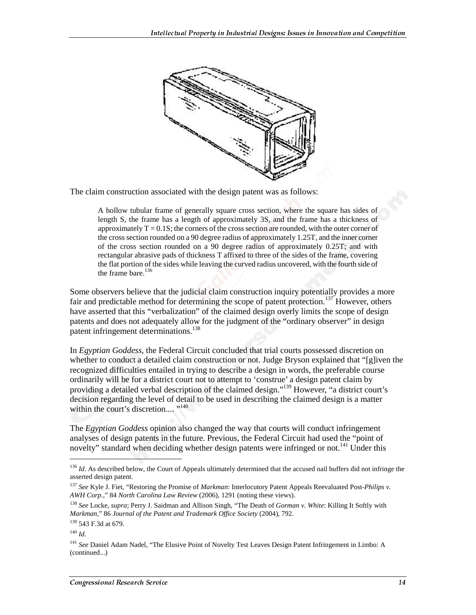

The claim construction associated with the design patent was as follows:

A hollow tubular frame of generally square cross section, where the square has sides of length S, the frame has a length of approximately 3S, and the frame has a thickness of approximately  $T = 0.1$ S; the corners of the cross section are rounded, with the outer corner of the cross section rounded on a 90 degree radius of approximately 1.25T, and the inner corner of the cross section rounded on a 90 degree radius of approximately 0.25T; and with rectangular abrasive pads of thickness T affixed to three of the sides of the frame, covering the flat portion of the sides while leaving the curved radius uncovered, with the fourth side of the frame bare. $136$ 

Some observers believe that the judicial claim construction inquiry potentially provides a more fair and predictable method for determining the scope of patent protection.<sup>137</sup> However, others have asserted that this "verbalization" of the claimed design overly limits the scope of design patents and does not adequately allow for the judgment of the "ordinary observer" in design patent infringement determinations.<sup>138</sup>

In *Egyptian Goddess*, the Federal Circuit concluded that trial courts possessed discretion on whether to conduct a detailed claim construction or not. Judge Bryson explained that "[g]iven the recognized difficulties entailed in trying to describe a design in words, the preferable course ordinarily will be for a district court not to attempt to 'construe' a design patent claim by providing a detailed verbal description of the claimed design."<sup>139</sup> However, "a district court's decision regarding the level of detail to be used in describing the claimed design is a matter within the court's discretion.... "<sup>140</sup>

The *Egyptian Goddess* opinion also changed the way that courts will conduct infringement analyses of design patents in the future. Previous, the Federal Circuit had used the "point of novelty" standard when deciding whether design patents were infringed or not.<sup>141</sup> Under this

<sup>&</sup>lt;sup>136</sup> *Id*. As described below, the Court of Appeals ultimately determined that the accused nail buffers did not infringe the asserted design patent.

<sup>137</sup> *See* Kyle J. Fiet, "Restoring the Promise of *Markman*: Interlocutory Patent Appeals Reevaluated Post-*Philips v. AWH Corp.*," 84 *North Carolina Law Review* (2006), 1291 (noting these views).

<sup>138</sup> *See* Locke, *supra*; Perry J. Saidman and Allison Singh, "The Death of *Gorman v. White*: Killing It Softly with *Markman*," 86 *Journal of the Patent and Trademark Office Society* (2004), 792.

<sup>139 543</sup> F.3d at 679.

<sup>140</sup> *Id.*

<sup>141</sup> *See* Daniel Adam Nadel, "The Elusive Point of Novelty Test Leaves Design Patent Infringement in Limbo: A (continued...)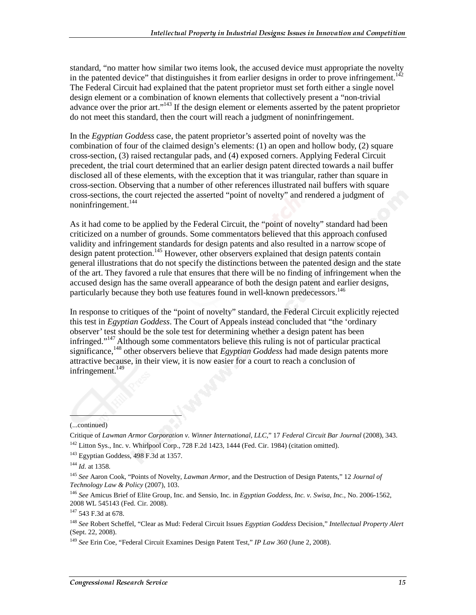standard, "no matter how similar two items look, the accused device must appropriate the novelty in the patented device" that distinguishes it from earlier designs in order to prove infringement.<sup>142</sup> The Federal Circuit had explained that the patent proprietor must set forth either a single novel design element or a combination of known elements that collectively present a "non-trivial advance over the prior art."<sup>143</sup> If the design element or elements asserted by the patent proprietor do not meet this standard, then the court will reach a judgment of noninfringement.

In the *Egyptian Goddess* case, the patent proprietor's asserted point of novelty was the combination of four of the claimed design's elements: (1) an open and hollow body, (2) square cross-section, (3) raised rectangular pads, and (4) exposed corners. Applying Federal Circuit precedent, the trial court determined that an earlier design patent directed towards a nail buffer disclosed all of these elements, with the exception that it was triangular, rather than square in cross-section. Observing that a number of other references illustrated nail buffers with square cross-sections, the court rejected the asserted "point of novelty" and rendered a judgment of noninfringement.<sup>144</sup>

As it had come to be applied by the Federal Circuit, the "point of novelty" standard had been criticized on a number of grounds. Some commentators believed that this approach confused validity and infringement standards for design patents and also resulted in a narrow scope of design patent protection.<sup>145</sup> However, other observers explained that design patents contain general illustrations that do not specify the distinctions between the patented design and the state of the art. They favored a rule that ensures that there will be no finding of infringement when the accused design has the same overall appearance of both the design patent and earlier designs, particularly because they both use features found in well-known predecessors.<sup>146</sup>

In response to critiques of the "point of novelty" standard, the Federal Circuit explicitly rejected this test in *Egyptian Goddess*. The Court of Appeals instead concluded that "the 'ordinary observer' test should be the sole test for determining whether a design patent has been infringed."147 Although some commentators believe this ruling is not of particular practical significance,<sup>148</sup> other observers believe that *Egyptian Goddess* had made design patents more attractive because, in their view, it is now easier for a court to reach a conclusion of infringement.<sup>149</sup>

#### (...continued)

ł

Critique of *Lawman Armor Corporation v. Winner International, LLC*," 17 *Federal Circuit Bar Journal* (2008), 343.  $142$  Litton Sys., Inc. v. Whirlpool Corp., 728 F.2d 1423, 1444 (Fed. Cir. 1984) (citation omitted).

<sup>143</sup> Egyptian Goddess, 498 F.3d at 1357.

<sup>144</sup> *Id.* at 1358.

<sup>145</sup> *See* Aaron Cook, "Points of Novelty, *Lawman Armor*, and the Destruction of Design Patents," 12 *Journal of Technology Law & Policy* (2007), 103.

<sup>146</sup> *See* Amicus Brief of Elite Group, Inc. and Sensio, Inc. in *Egyptian Goddess, Inc. v. Swisa, Inc.*, No. 2006-1562, 2008 WL 545143 (Fed. Cir. 2008).

<sup>147 543</sup> F.3d at 678.

<sup>148</sup> *See* Robert Scheffel, "Clear as Mud: Federal Circuit Issues *Egyptian Goddess* Decision," *Intellectual Property Alert*  (Sept. 22, 2008).

<sup>149</sup> *See* Erin Coe, "Federal Circuit Examines Design Patent Test," *IP Law 360* (June 2, 2008).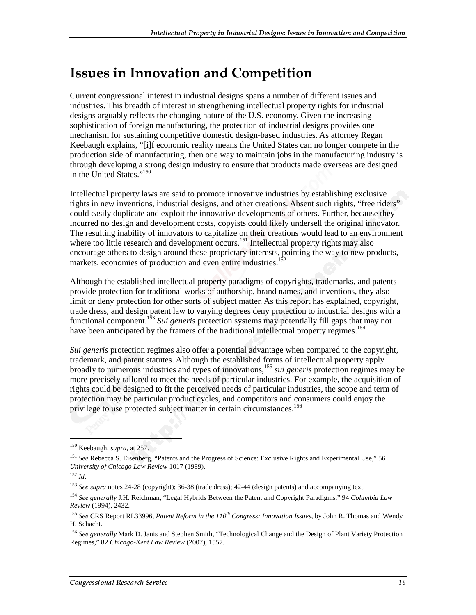### **Issues in Innovation and Competition**

Current congressional interest in industrial designs spans a number of different issues and industries. This breadth of interest in strengthening intellectual property rights for industrial designs arguably reflects the changing nature of the U.S. economy. Given the increasing sophistication of foreign manufacturing, the protection of industrial designs provides one mechanism for sustaining competitive domestic design-based industries. As attorney Regan Keebaugh explains, "[i]f economic reality means the United States can no longer compete in the production side of manufacturing, then one way to maintain jobs in the manufacturing industry is through developing a strong design industry to ensure that products made overseas are designed in the United States."<sup>150</sup>

Intellectual property laws are said to promote innovative industries by establishing exclusive rights in new inventions, industrial designs, and other creations. Absent such rights, "free riders" could easily duplicate and exploit the innovative developments of others. Further, because they incurred no design and development costs, copyists could likely undersell the original innovator. The resulting inability of innovators to capitalize on their creations would lead to an environment where too little research and development occurs.<sup>151</sup> Intellectual property rights may also encourage others to design around these proprietary interests, pointing the way to new products, markets, economies of production and even entire industries.<sup>1</sup>

Although the established intellectual property paradigms of copyrights, trademarks, and patents provide protection for traditional works of authorship, brand names, and inventions, they also limit or deny protection for other sorts of subject matter. As this report has explained, copyright, trade dress, and design patent law to varying degrees deny protection to industrial designs with a functional component.153 *Sui generis* protection systems may potentially fill gaps that may not have been anticipated by the framers of the traditional intellectual property regimes.<sup>154</sup>

*Sui generis* protection regimes also offer a potential advantage when compared to the copyright, trademark, and patent statutes. Although the established forms of intellectual property apply broadly to numerous industries and types of innovations,<sup>155</sup> *sui generis* protection regimes may be more precisely tailored to meet the needs of particular industries. For example, the acquisition of rights could be designed to fit the perceived needs of particular industries, the scope and term of protection may be particular product cycles, and competitors and consumers could enjoy the privilege to use protected subject matter in certain circumstances.<sup>156</sup>

<sup>150</sup> Keebaugh, *supra*, at 257.

<sup>151</sup> *See* Rebecca S. Eisenberg, "Patents and the Progress of Science: Exclusive Rights and Experimental Use," 56 *University of Chicago Law Review* 1017 (1989).

<sup>152</sup> *Id*.

<sup>&</sup>lt;sup>153</sup> See supra notes 24-28 (copyright); 36-38 (trade dress); 42-44 (design patents) and accompanying text.

<sup>154</sup> *See generally* J.H. Reichman, "Legal Hybrids Between the Patent and Copyright Paradigms," 94 *Columbia Law Review* (1994), 2432.

<sup>155</sup> *See* CRS Report RL33996, *Patent Reform in the 110th Congress: Innovation Issues*, by John R. Thomas and Wendy H. Schacht.

<sup>&</sup>lt;sup>156</sup> See generally Mark D. Janis and Stephen Smith, "Technological Change and the Design of Plant Variety Protection Regimes," 82 *Chicago-Kent Law Review* (2007), 1557.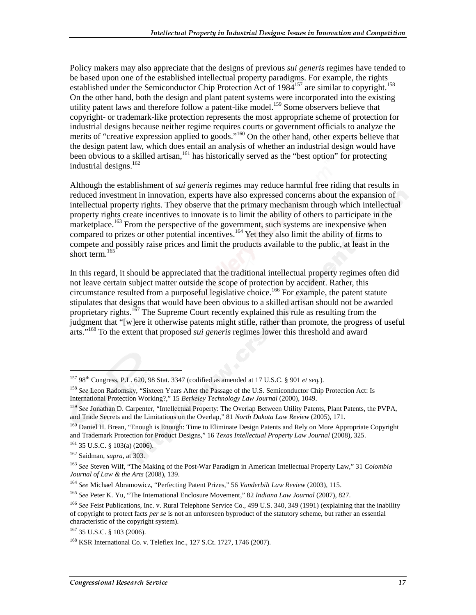Policy makers may also appreciate that the designs of previous *sui generis* regimes have tended to be based upon one of the established intellectual property paradigms. For example, the rights established under the Semiconductor Chip Protection Act of 1984<sup>157</sup> are similar to copyright.<sup>158</sup> On the other hand, both the design and plant patent systems were incorporated into the existing utility patent laws and therefore follow a patent-like model.<sup>159</sup> Some observers believe that copyright- or trademark-like protection represents the most appropriate scheme of protection for industrial designs because neither regime requires courts or government officials to analyze the merits of "creative expression applied to goods."<sup>160</sup> On the other hand, other experts believe that the design patent law, which does entail an analysis of whether an industrial design would have been obvious to a skilled artisan,<sup>161</sup> has historically served as the "best option" for protecting industrial designs. $162$ 

Although the establishment of *sui generis* regimes may reduce harmful free riding that results in reduced investment in innovation, experts have also expressed concerns about the expansion of intellectual property rights. They observe that the primary mechanism through which intellectual property rights create incentives to innovate is to limit the ability of others to participate in the marketplace.<sup>163</sup> From the perspective of the government, such systems are inexpensive when compared to prizes or other potential incentives.<sup>164</sup> Yet they also limit the ability of firms to compete and possibly raise prices and limit the products available to the public, at least in the short term. $165$ 

In this regard, it should be appreciated that the traditional intellectual property regimes often did not leave certain subject matter outside the scope of protection by accident. Rather, this circumstance resulted from a purposeful legislative choice.<sup>166</sup> For example, the patent statute stipulates that designs that would have been obvious to a skilled artisan should not be awarded proprietary rights.<sup>167</sup> The Supreme Court recently explained this rule as resulting from the judgment that "[w]ere it otherwise patents might stifle, rather than promote, the progress of useful arts."168 To the extent that proposed *sui generis* regimes lower this threshold and award

162 Saidman, *supra*, at 303.

<sup>157 98</sup>th Congress, P.L. 620, 98 Stat. 3347 (codified as amended at 17 U.S.C. § 901 *et seq.*).

<sup>&</sup>lt;sup>158</sup> See Leon Radomsky, "Sixteen Years After the Passage of the U.S. Semiconductor Chip Protection Act: Is International Protection Working?," 15 *Berkeley Technology Law Journal* (2000), 1049.

<sup>159</sup> *See* Jonathan D. Carpenter, "Intellectual Property: The Overlap Between Utility Patents, Plant Patents, the PVPA, and Trade Secrets and the Limitations on the Overlap," 81 *North Dakota Law Review* (2005), 171.

<sup>&</sup>lt;sup>160</sup> Daniel H. Brean, "Enough is Enough: Time to Eliminate Design Patents and Rely on More Appropriate Copyright and Trademark Protection for Product Designs," 16 *Texas Intellectual Property Law Journal* (2008), 325.  $161$  35 U.S.C. § 103(a) (2006).

<sup>163</sup> *See* Steven Wilf, "The Making of the Post-War Paradigm in American Intellectual Property Law," 31 *Colombia Journal of Law & the Arts* (2008), 139.

<sup>164</sup> *See* Michael Abramowicz, "Perfecting Patent Prizes," 56 *Vanderbilt Law Review* (2003), 115.

<sup>165</sup> *See* Peter K. Yu, "The International Enclosure Movement," 82 *Indiana Law Journal* (2007), 827.

<sup>166</sup> *See* Feist Publications, Inc. v. Rural Telephone Service Co., 499 U.S. 340, 349 (1991) (explaining that the inability of copyright to protect facts *per se* is not an unforeseen byproduct of the statutory scheme, but rather an essential characteristic of the copyright system).

 $167$  35 U.S.C. § 103 (2006).

<sup>168</sup> KSR International Co. v. Teleflex Inc., 127 S.Ct. 1727, 1746 (2007).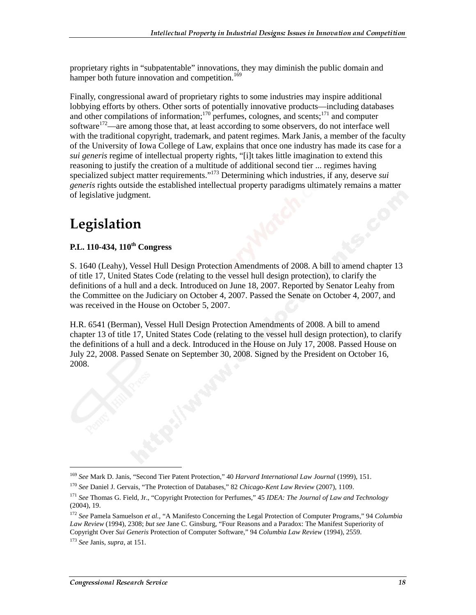proprietary rights in "subpatentable" innovations, they may diminish the public domain and hamper both future innovation and competition.<sup>169</sup>

Finally, congressional award of proprietary rights to some industries may inspire additional lobbying efforts by others. Other sorts of potentially innovative products—including databases and other compilations of information; $170$  perfumes, colognes, and scents; $171$  and computer software<sup>172</sup>—are among those that, at least according to some observers, do not interface well with the traditional copyright, trademark, and patent regimes. Mark Janis, a member of the faculty of the University of Iowa College of Law, explains that once one industry has made its case for a *sui generis* regime of intellectual property rights, "[i]t takes little imagination to extend this reasoning to justify the creation of a multitude of additional second tier ... regimes having specialized subject matter requirements."173 Determining which industries, if any, deserve *sui generis* rights outside the established intellectual property paradigms ultimately remains a matter of legislative judgment.

## Legislation

#### **P.L. 110-434, 110th Congress**

S. 1640 (Leahy), Vessel Hull Design Protection Amendments of 2008. A bill to amend chapter 13 of title 17, United States Code (relating to the vessel hull design protection), to clarify the definitions of a hull and a deck. Introduced on June 18, 2007. Reported by Senator Leahy from the Committee on the Judiciary on October 4, 2007. Passed the Senate on October 4, 2007, and was received in the House on October 5, 2007.

H.R. 6541 (Berman), Vessel Hull Design Protection Amendments of 2008. A bill to amend chapter 13 of title 17, United States Code (relating to the vessel hull design protection), to clarify the definitions of a hull and a deck. Introduced in the House on July 17, 2008. Passed House on July 22, 2008. Passed Senate on September 30, 2008. Signed by the President on October 16, 2008.

<sup>169</sup> *See* Mark D. Janis, "Second Tier Patent Protection," 40 *Harvard International Law Journal* (1999), 151.

<sup>170</sup> *See* Daniel J. Gervais, "The Protection of Databases," 82 *Chicago-Kent Law Review* (2007), 1109.

<sup>171</sup> *See* Thomas G. Field, Jr., "Copyright Protection for Perfumes," 45 *IDEA: The Journal of Law and Technology* (2004), 19.

<sup>172</sup> *See* Pamela Samuelson *et al.*, "A Manifesto Concerning the Legal Protection of Computer Programs," 94 *Columbia Law Review* (1994), 2308; *but see* Jane C. Ginsburg, "Four Reasons and a Paradox: The Manifest Superiority of Copyright Over *Sui Generis* Protection of Computer Software," 94 *Columbia Law Review* (1994), 2559.

<sup>173</sup> *See* Janis, *supra*, at 151.